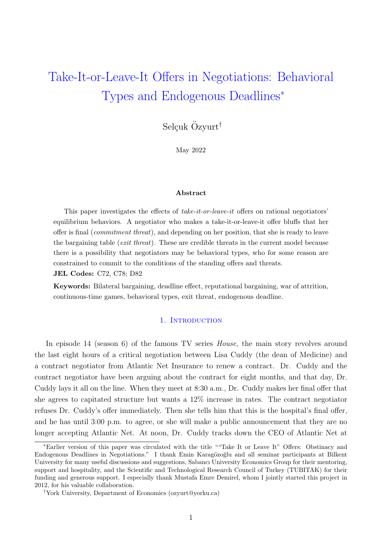# Take-It-or-Leave-It Offers in Negotiations: Behavioral Types and Endogenous Deadlines<sup>∗</sup>

Selçuk Özyurt<sup>†</sup>

May 2022

### Abstract

This paper investigates the effects of take-it-or-leave-it offers on rational negotiators' equilibrium behaviors. A negotiator who makes a take-it-or-leave-it offer bluffs that her offer is final (commitment threat), and depending on her position, that she is ready to leave the bargaining table *(exit threat)*. These are credible threats in the current model because there is a possibility that negotiators may be behavioral types, who for some reason are constrained to commit to the conditions of the standing offers and threats.

JEL Codes: C72, C78; D82

Keywords: Bilateral bargaining, deadline effect, reputational bargaining, war of attrition, continuous-time games, behavioral types, exit threat, endogenous deadline.

#### 1. INTRODUCTION

In episode 14 (season 6) of the famous TV series *House*, the main story revolves around the last eight hours of a critical negotiation between Lisa Cuddy (the dean of Medicine) and a contract negotiator from Atlantic Net Insurance to renew a contract. Dr. Cuddy and the contract negotiator have been arguing about the contract for eight months, and that day, Dr. Cuddy lays it all on the line. When they meet at 8:30 a.m., Dr. Cuddy makes her final offer that she agrees to capitated structure but wants a 12% increase in rates. The contract negotiator refuses Dr. Cuddy's offer immediately. Then she tells him that this is the hospital's final offer, and he has until 3:00 p.m. to agree, or she will make a public announcement that they are no longer accepting Atlantic Net. At noon, Dr. Cuddy tracks down the CEO of Atlantic Net at

<sup>∗</sup>Earlier version of this paper was circulated with the title ""Take It or Leave It" Offers: Obstinacy and Endogenous Deadlines in Negotiations." I thank Emin Karagözoğlu and all seminar participants at Bilkent University for many useful discussions and suggestions, Sabancı University Economics Group for their mentoring, support and hospitality, and the Scientific and Technological Research Council of Turkey (TUBITAK) for their funding and generous support. I especially thank Mustafa Emre Demirel, whom I jointly started this project in 2012, for his valuable collaboration.

<sup>†</sup>York University, Department of Economics (ozyurt@yorku.ca)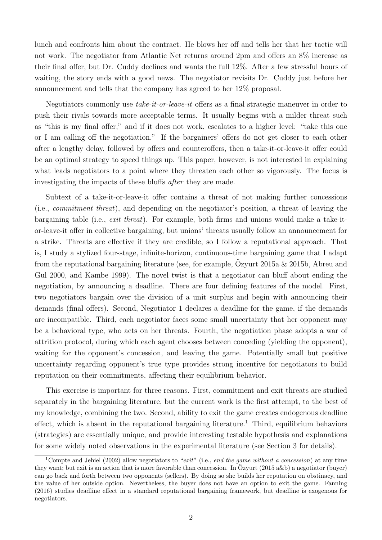lunch and confronts him about the contract. He blows her off and tells her that her tactic will not work. The negotiator from Atlantic Net returns around 2pm and offers an 8% increase as their final offer, but Dr. Cuddy declines and wants the full 12%. After a few stressful hours of waiting, the story ends with a good news. The negotiator revisits Dr. Cuddy just before her announcement and tells that the company has agreed to her 12% proposal.

Negotiators commonly use take-it-or-leave-it offers as a final strategic maneuver in order to push their rivals towards more acceptable terms. It usually begins with a milder threat such as "this is my final offer," and if it does not work, escalates to a higher level: "take this one or I am calling off the negotiation." If the bargainers' offers do not get closer to each other after a lengthy delay, followed by offers and counteroffers, then a take-it-or-leave-it offer could be an optimal strategy to speed things up. This paper, however, is not interested in explaining what leads negotiators to a point where they threaten each other so vigorously. The focus is investigating the impacts of these bluffs *after* they are made.

Subtext of a take-it-or-leave-it offer contains a threat of not making further concessions (i.e., commitment threat), and depending on the negotiator's position, a threat of leaving the bargaining table (i.e., exit threat). For example, both firms and unions would make a take-itor-leave-it offer in collective bargaining, but unions' threats usually follow an announcement for a strike. Threats are effective if they are credible, so I follow a reputational approach. That is, I study a stylized four-stage, infinite-horizon, continuous-time bargaining game that I adapt from the reputational bargaining literature (see, for example,  $\ddot{O}$ zyurt 2015a & 2015b, Abreu and Gul 2000, and Kambe 1999). The novel twist is that a negotiator can bluff about ending the negotiation, by announcing a deadline. There are four defining features of the model. First, two negotiators bargain over the division of a unit surplus and begin with announcing their demands (final offers). Second, Negotiator 1 declares a deadline for the game, if the demands are incompatible. Third, each negotiator faces some small uncertainty that her opponent may be a behavioral type, who acts on her threats. Fourth, the negotiation phase adopts a war of attrition protocol, during which each agent chooses between conceding (yielding the opponent), waiting for the opponent's concession, and leaving the game. Potentially small but positive uncertainty regarding opponent's true type provides strong incentive for negotiators to build reputation on their commitments, affecting their equilibrium behavior.

This exercise is important for three reasons. First, commitment and exit threats are studied separately in the bargaining literature, but the current work is the first attempt, to the best of my knowledge, combining the two. Second, ability to exit the game creates endogenous deadline effect, which is absent in the reputational bargaining literature.<sup>1</sup> Third, equilibrium behaviors (strategies) are essentially unique, and provide interesting testable hypothesis and explanations for some widely noted observations in the experimental literature (see Section 3 for details).

<sup>&</sup>lt;sup>1</sup>Compte and Jehiel (2002) allow negotiators to "exit" (i.e., end the game without a concession) at any time they want; but exit is an action that is more favorable than concession. In  $\ddot{O}z$  vurt (2015 a&b) a negotiator (buyer) can go back and forth between two opponents (sellers). By doing so she builds her reputation on obstinacy, and the value of her outside option. Nevertheless, the buyer does not have an option to exit the game. Fanning (2016) studies deadline effect in a standard reputational bargaining framework, but deadline is exogenous for negotiators.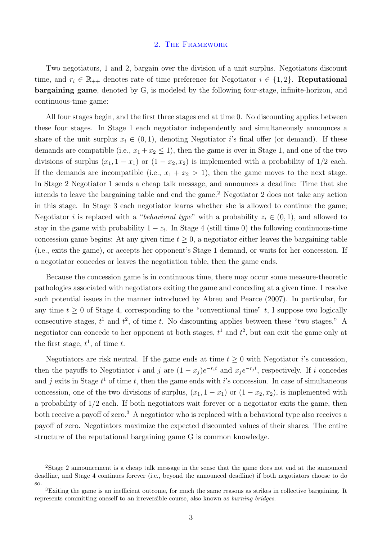#### 2. The Framework

Two negotiators, 1 and 2, bargain over the division of a unit surplus. Negotiators discount time, and  $r_i \in \mathbb{R}_{++}$  denotes rate of time preference for Negotiator  $i \in \{1,2\}$ . Reputational bargaining game, denoted by G, is modeled by the following four-stage, infinite-horizon, and continuous-time game:

All four stages begin, and the first three stages end at time 0. No discounting applies between these four stages. In Stage 1 each negotiator independently and simultaneously announces a share of the unit surplus  $x_i \in (0,1)$ , denoting Negotiator i's final offer (or demand). If these demands are compatible (i.e.,  $x_1 + x_2 \le 1$ ), then the game is over in Stage 1, and one of the two divisions of surplus  $(x_1, 1 - x_1)$  or  $(1 - x_2, x_2)$  is implemented with a probability of  $1/2$  each. If the demands are incompatible (i.e.,  $x_1 + x_2 > 1$ ), then the game moves to the next stage. In Stage 2 Negotiator 1 sends a cheap talk message, and announces a deadline: Time that she intends to leave the bargaining table and end the game.<sup>2</sup> Negotiator 2 does not take any action in this stage. In Stage 3 each negotiator learns whether she is allowed to continue the game; Negotiator *i* is replaced with a "*behavioral type*" with a probability  $z_i \in (0,1)$ , and allowed to stay in the game with probability  $1 - z_i$ . In Stage 4 (still time 0) the following continuous-time concession game begins: At any given time  $t \geq 0$ , a negotiator either leaves the bargaining table (i.e., exits the game), or accepts her opponent's Stage 1 demand, or waits for her concession. If a negotiator concedes or leaves the negotiation table, then the game ends.

Because the concession game is in continuous time, there may occur some measure-theoretic pathologies associated with negotiators exiting the game and conceding at a given time. I resolve such potential issues in the manner introduced by Abreu and Pearce (2007). In particular, for any time  $t \geq 0$  of Stage 4, corresponding to the "conventional time" t, I suppose two logically consecutive stages,  $t^1$  and  $t^2$ , of time t. No discounting applies between these "two stages." A negotiator can concede to her opponent at both stages,  $t^1$  and  $t^2$ , but can exit the game only at the first stage,  $t^1$ , of time t.

Negotiators are risk neutral. If the game ends at time  $t \geq 0$  with Negotiator *i*'s concession, then the payoffs to Negotiator *i* and *j* are  $(1-x_j)e^{-r_i t}$  and  $x_je^{-r_j t}$ , respectively. If *i* concedes and j exits in Stage  $t<sup>1</sup>$  of time t, then the game ends with i's concession. In case of simultaneous concession, one of the two divisions of surplus,  $(x_1, 1 - x_1)$  or  $(1 - x_2, x_2)$ , is implemented with a probability of 1/2 each. If both negotiators wait forever or a negotiator exits the game, then both receive a payoff of zero.<sup>3</sup> A negotiator who is replaced with a behavioral type also receives a payoff of zero. Negotiators maximize the expected discounted values of their shares. The entire structure of the reputational bargaining game G is common knowledge.

<sup>2</sup>Stage 2 announcement is a cheap talk message in the sense that the game does not end at the announced deadline, and Stage 4 continues forever (i.e., beyond the announced deadline) if both negotiators choose to do so.

<sup>3</sup>Exiting the game is an inefficient outcome, for much the same reasons as strikes in collective bargaining. It represents committing oneself to an irreversible course, also known as burning bridges.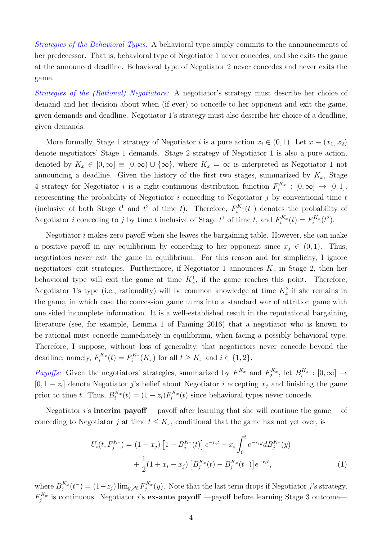Strategies of the Behavioral Types: A behavioral type simply commits to the announcements of her predecessor. That is, behavioral type of Negotiator 1 never concedes, and she exits the game at the announced deadline. Behavioral type of Negotiator 2 never concedes and never exits the game.

Strategies of the (Rational) Negotiators: A negotiator's strategy must describe her choice of demand and her decision about when (if ever) to concede to her opponent and exit the game, given demands and deadline. Negotiator 1's strategy must also describe her choice of a deadline, given demands.

More formally, Stage 1 strategy of Negotiator *i* is a pure action  $x_i \in (0,1)$ . Let  $x \equiv (x_1, x_2)$ denote negotiators' Stage 1 demands. Stage 2 strategy of Negotiator 1 is also a pure action, denoted by  $K_x \in [0,\infty] \equiv [0,\infty) \cup {\infty}$ , where  $K_x = \infty$  is interpreted as Negotiator 1 not announcing a deadline. Given the history of the first two stages, summarized by  $K_x$ , Stage 4 strategy for Negotiator *i* is a right-continuous distribution function  $F_i^{K_x} : [0, \infty] \to [0, 1],$ representing the probability of Negotiator  $i$  conceding to Negotiator  $j$  by conventional time  $t$ (inclusive of both Stage  $t^1$  and  $t^2$  of time t). Therefore,  $F_i^{K_x}(t^1)$  denotes the probability of Negotiator *i* conceding to *j* by time *t* inclusive of Stage  $t^1$  of time *t*, and  $F_i^{K_x}(t) = F_i^{K_x}(t^2)$ .

Negotiator  $i$  makes zero payoff when she leaves the bargaining table. However, she can make a positive payoff in any equilibrium by conceding to her opponent since  $x_j \in (0,1)$ . Thus, negotiators never exit the game in equilibrium. For this reason and for simplicity, I ignore negotiators' exit strategies. Furthermore, if Negotiator 1 announces  $K_x$  in Stage 2, then her behavioral type will exit the game at time  $K_x^1$ , if the game reaches this point. Therefore, Negotiator 1's type (i.e., rationality) will be common knowledge at time  $K_x^2$  if she remains in the game, in which case the concession game turns into a standard war of attrition game with one sided incomplete information. It is a well-established result in the reputational bargaining literature (see, for example, Lemma 1 of Fanning 2016) that a negotiator who is known to be rational must concede immediately in equilibrium, when facing a possibly behavioral type. Therefore, I suppose, without loss of generality, that negotiators never concede beyond the deadline; namely,  $F_i^{K_x}(t) = F_i^{K_x}(K_x)$  for all  $t \ge K_x$  and  $i \in \{1, 2\}$ .

*Payoffs:* Given the negotiators' strategies, summarized by  $F_1^{K_x}$  and  $F_2^{K_x}$ , let  $B_i^{K_x} : [0, \infty] \rightarrow$  $[0, 1-z_i]$  denote Negotiator j's belief about Negotiator i accepting  $x_j$  and finishing the game prior to time t. Thus,  $B_i^{K_x}(t) = (1 - z_i) F_i^{K_x}(t)$  since behavioral types never concede.

Negotiator *i*'s **interim payoff** —payoff after learning that she will continue the game— of conceding to Negotiator j at time  $t \leq K_x$ , conditional that the game has not yet over, is

$$
U_i(t, F_j^{K_x}) = (1 - x_j) \left[ 1 - B_j^{K_x}(t) \right] e^{-r_i t} + x_i \int_0^t e^{-r_i y} d B_j^{K_x}(y) + \frac{1}{2} (1 + x_i - x_j) \left[ B_j^{K_x}(t) - B_j^{K_x}(t^-) \right] e^{-r_i t}, \tag{1}
$$

where  $B_j^{K_x}(t^-)=(1-z_j)\lim_{y\to t}F_j^{K_x}(y)$ . Note that the last term drops if Negotiator j's strategy,  $F_j^{K_x}$  is continuous. Negotiator *i*'s **ex-ante payoff** —payoff before learning Stage 3 outcome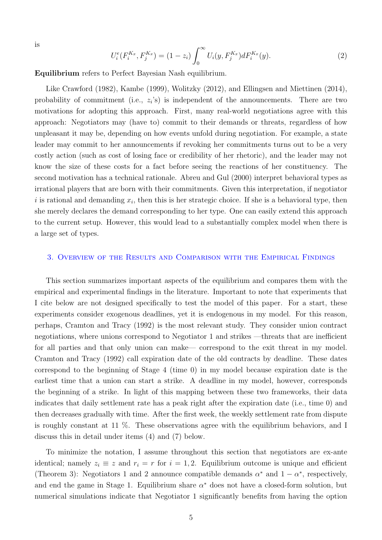is

$$
U_i^e(F_i^{K_x}, F_j^{K_x}) = (1 - z_i) \int_0^\infty U_i(y, F_j^{K_x}) dF_i^{K_x}(y). \tag{2}
$$

Equilibrium refers to Perfect Bayesian Nash equilibrium.

Like Crawford (1982), Kambe (1999), Wolitzky (2012), and Ellingsen and Miettinen (2014), probability of commitment (i.e.,  $z_i$ 's) is independent of the announcements. There are two motivations for adopting this approach. First, many real-world negotiations agree with this approach: Negotiators may (have to) commit to their demands or threats, regardless of how unpleasant it may be, depending on how events unfold during negotiation. For example, a state leader may commit to her announcements if revoking her commitments turns out to be a very costly action (such as cost of losing face or credibility of her rhetoric), and the leader may not know the size of these costs for a fact before seeing the reactions of her constituency. The second motivation has a technical rationale. Abreu and Gul (2000) interpret behavioral types as irrational players that are born with their commitments. Given this interpretation, if negotiator i is rational and demanding  $x_i$ , then this is her strategic choice. If she is a behavioral type, then she merely declares the demand corresponding to her type. One can easily extend this approach to the current setup. However, this would lead to a substantially complex model when there is a large set of types.

#### 3. Overview of the Results and Comparison with the Empirical Findings

This section summarizes important aspects of the equilibrium and compares them with the empirical and experimental findings in the literature. Important to note that experiments that I cite below are not designed specifically to test the model of this paper. For a start, these experiments consider exogenous deadlines, yet it is endogenous in my model. For this reason, perhaps, Cramton and Tracy (1992) is the most relevant study. They consider union contract negotiations, where unions correspond to Negotiator 1 and strikes —threats that are inefficient for all parties and that only union can make— correspond to the exit threat in my model. Cramton and Tracy (1992) call expiration date of the old contracts by deadline. These dates correspond to the beginning of Stage 4 (time 0) in my model because expiration date is the earliest time that a union can start a strike. A deadline in my model, however, corresponds the beginning of a strike. In light of this mapping between these two frameworks, their data indicates that daily settlement rate has a peak right after the expiration date (i.e., time 0) and then decreases gradually with time. After the first week, the weekly settlement rate from dispute is roughly constant at 11 %. These observations agree with the equilibrium behaviors, and I discuss this in detail under items (4) and (7) below.

To minimize the notation, I assume throughout this section that negotiators are ex-ante identical; namely  $z_i \equiv z$  and  $r_i = r$  for  $i = 1, 2$ . Equilibrium outcome is unique and efficient (Theorem 3): Negotiators 1 and 2 announce compatible demands  $\alpha^*$  and  $1 - \alpha^*$ , respectively, and end the game in Stage 1. Equilibrium share  $\alpha^*$  does not have a closed-form solution, but numerical simulations indicate that Negotiator 1 significantly benefits from having the option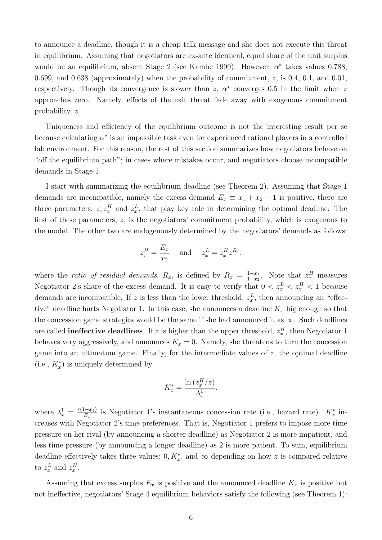to announce a deadline, though it is a cheap talk message and she does not execute this threat in equilibrium. Assuming that negotiators are ex-ante identical, equal share of the unit surplus would be an equilibrium, absent Stage 2 (see Kambe 1999). However,  $\alpha^*$  takes values 0.788, 0.699, and 0.638 (approximately) when the probability of commitment,  $z$ , is 0.4, 0.1, and 0.01, respectively. Though its convergence is slower than  $z$ ,  $\alpha^*$  converges 0.5 in the limit when z approaches zero. Namely, effects of the exit threat fade away with exogenous commitment probability, z.

Uniqueness and efficiency of the equilibrium outcome is not the interesting result per se because calculating  $\alpha^*$  is an impossible task even for experienced rational players in a controlled lab environment. For this reason, the rest of this section summarizes how negotiators behave on "off the equilibrium path"; in cases where mistakes occur, and negotiators choose incompatible demands in Stage 1.

I start with summarizing the equilibrium deadline (see Theorem 2). Assuming that Stage 1 demands are incompatible, namely the excess demand  $E_x \equiv x_1 + x_2 - 1$  is positive, there are three parameters,  $z, z_x^H$  and  $z_x^L$ , that play key role in determining the optimal deadline: The first of these parameters, z, is the negotiators' commitment probability, which is exogenous to the model. The other two are endogenously determined by the negotiators' demands as follows:

$$
z_x^H = \frac{E_x}{x_2} \quad \text{and} \quad z_x^L = z_x^H z^{R_x},
$$

where the *ratio of residual demands*,  $R_x$ , is defined by  $R_x = \frac{1-x_1}{1-x_2}$  $\frac{1-x_1}{1-x_2}$ . Note that  $z_x^H$  measures Negotiator 2's share of the excess demand. It is easy to verify that  $0 < z_x^L < z_x^H < 1$  because demands are incompatible. If z is less than the lower threshold,  $z_x^L$ , then announcing an "effective" deadline hurts Negotiator 1. In this case, she announces a deadline  $K_x$  big enough so that the concession game strategies would be the same if she had announced it as  $\infty$ . Such deadlines are called **ineffective deadlines**. If z is higher than the upper threshold,  $z_x^H$ , then Negotiator 1 behaves very aggressively, and announces  $K_x = 0$ . Namely, she threatens to turn the concession game into an ultimatum game. Finally, for the intermediate values of  $z$ , the optimal deadline (i.e.,  $K_x^*$ ) is uniquely determined by

$$
K_x^* = \frac{\ln\left(z_x^H/z\right)}{\lambda_x^1},
$$

where  $\lambda_x^1 = \frac{r(1-x_1)}{E_x}$  $\frac{(-x_1)}{E_x}$  is Negotiator 1's instantaneous concession rate (i.e., hazard rate).  $K_x^*$  increases with Negotiator 2's time preferences. That is, Negotiator 1 prefers to impose more time pressure on her rival (by announcing a shorter deadline) as Negotiator 2 is more impatient, and less time pressure (by announcing a longer deadline) as 2 is more patient. To sum, equilibrium deadline effectively takes three values;  $0, K_x^*$ , and  $\infty$  depending on how z is compared relative to  $z_x^L$  and  $z_x^H$ .

Assuming that excess surplus  $E_x$  is positive and the announced deadline  $K_x$  is positive but not ineffective, negotiators' Stage 4 equilibrium behaviors satisfy the following (see Theorem 1):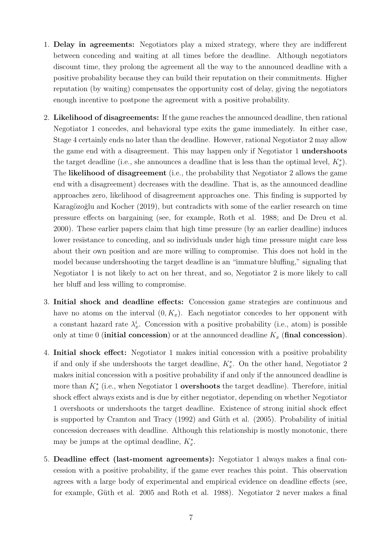- 1. Delay in agreements: Negotiators play a mixed strategy, where they are indifferent between conceding and waiting at all times before the deadline. Although negotiators discount time, they prolong the agreement all the way to the announced deadline with a positive probability because they can build their reputation on their commitments. Higher reputation (by waiting) compensates the opportunity cost of delay, giving the negotiators enough incentive to postpone the agreement with a positive probability.
- 2. Likelihood of disagreements: If the game reaches the announced deadline, then rational Negotiator 1 concedes, and behavioral type exits the game immediately. In either case, Stage 4 certainly ends no later than the deadline. However, rational Negotiator 2 may allow the game end with a disagreement. This may happen only if Negotiator 1 undershoots the target deadline (i.e., she announces a deadline that is less than the optimal level,  $K_x^*$ ). The likelihood of disagreement (i.e., the probability that Negotiator 2 allows the game end with a disagreement) decreases with the deadline. That is, as the announced deadline approaches zero, likelihood of disagreement approaches one. This finding is supported by Karagözoğlu and Kocher (2019), but contradicts with some of the earlier research on time pressure effects on bargaining (see, for example, Roth et al. 1988; and De Dreu et al. 2000). These earlier papers claim that high time pressure (by an earlier deadline) induces lower resistance to conceding, and so individuals under high time pressure might care less about their own position and are more willing to compromise. This does not hold in the model because undershooting the target deadline is an "immature bluffing," signaling that Negotiator 1 is not likely to act on her threat, and so, Negotiator 2 is more likely to call her bluff and less willing to compromise.
- 3. Initial shock and deadline effects: Concession game strategies are continuous and have no atoms on the interval  $(0, K_x)$ . Each negotiator concedes to her opponent with a constant hazard rate  $\lambda_x^i$ . Concession with a positive probability (i.e., atom) is possible only at time 0 (initial concession) or at the announced deadline  $K_x$  (final concession).
- 4. Initial shock effect: Negotiator 1 makes initial concession with a positive probability if and only if she undershoots the target deadline,  $K_x^*$ . On the other hand, Negotiator 2 makes initial concession with a positive probability if and only if the announced deadline is more than  $K_x^*$  (i.e., when Negotiator 1 **overshoots** the target deadline). Therefore, initial shock effect always exists and is due by either negotiator, depending on whether Negotiator 1 overshoots or undershoots the target deadline. Existence of strong initial shock effect is supported by Cramton and Tracy  $(1992)$  and Güth et al.  $(2005)$ . Probability of initial concession decreases with deadline. Although this relationship is mostly monotonic, there may be jumps at the optimal deadline,  $K_x^*$ .
- 5. Deadline effect (last-moment agreements): Negotiator 1 always makes a final concession with a positive probability, if the game ever reaches this point. This observation agrees with a large body of experimental and empirical evidence on deadline effects (see, for example, Güth et al. 2005 and Roth et al. 1988). Negotiator 2 never makes a final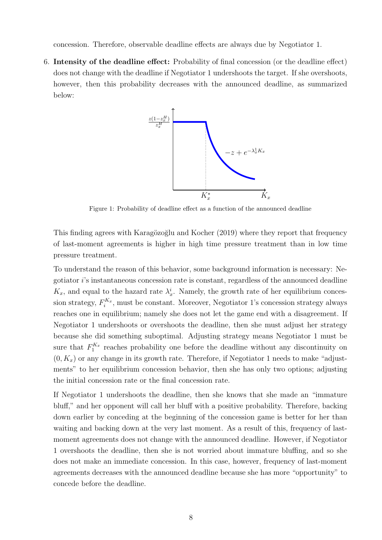concession. Therefore, observable deadline effects are always due by Negotiator 1.

6. Intensity of the deadline effect: Probability of final concession (or the deadline effect) does not change with the deadline if Negotiator 1 undershoots the target. If she overshoots, however, then this probability decreases with the announced deadline, as summarized below:



Figure 1: Probability of deadline effect as a function of the announced deadline

This finding agrees with Karagözoğlu and Kocher (2019) where they report that frequency of last-moment agreements is higher in high time pressure treatment than in low time pressure treatment.

To understand the reason of this behavior, some background information is necessary: Negotiator i's instantaneous concession rate is constant, regardless of the announced deadline  $K_x$ , and equal to the hazard rate  $\lambda_x^i$ . Namely, the growth rate of her equilibrium concession strategy,  $F_i^{K_x}$ , must be constant. Moreover, Negotiator 1's concession strategy always reaches one in equilibrium; namely she does not let the game end with a disagreement. If Negotiator 1 undershoots or overshoots the deadline, then she must adjust her strategy because she did something suboptimal. Adjusting strategy means Negotiator 1 must be sure that  $F_1^{K_x}$  reaches probability one before the deadline without any discontinuity on  $(0, K_x)$  or any change in its growth rate. Therefore, if Negotiator 1 needs to make "adjustments" to her equilibrium concession behavior, then she has only two options; adjusting the initial concession rate or the final concession rate.

If Negotiator 1 undershoots the deadline, then she knows that she made an "immature bluff," and her opponent will call her bluff with a positive probability. Therefore, backing down earlier by conceding at the beginning of the concession game is better for her than waiting and backing down at the very last moment. As a result of this, frequency of lastmoment agreements does not change with the announced deadline. However, if Negotiator 1 overshoots the deadline, then she is not worried about immature bluffing, and so she does not make an immediate concession. In this case, however, frequency of last-moment agreements decreases with the announced deadline because she has more "opportunity" to concede before the deadline.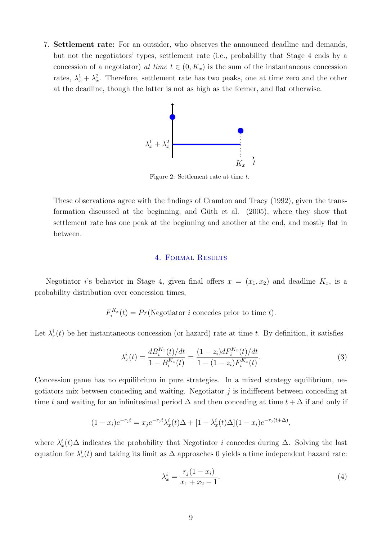7. Settlement rate: For an outsider, who observes the announced deadline and demands, but not the negotiators' types, settlement rate (i.e., probability that Stage 4 ends by a concession of a negotiator) at time  $t \in (0, K_x)$  is the sum of the instantaneous concession rates,  $\lambda_x^1 + \lambda_x^2$ . Therefore, settlement rate has two peaks, one at time zero and the other at the deadline, though the latter is not as high as the former, and flat otherwise.



Figure 2: Settlement rate at time t.

These observations agree with the findings of Cramton and Tracy (1992), given the transformation discussed at the beginning, and Güth et al.  $(2005)$ , where they show that settlement rate has one peak at the beginning and another at the end, and mostly flat in between.

## 4. Formal Results

Negotiator *i*'s behavior in Stage 4, given final offers  $x = (x_1, x_2)$  and deadline  $K_x$ , is a probability distribution over concession times,

 $F_i^{K_x}(t) = Pr(\text{Negotiator } i \text{ concedes prior to time } t).$ 

Let  $\lambda_x^i(t)$  be her instantaneous concession (or hazard) rate at time t. By definition, it satisfies

$$
\lambda_x^i(t) = \frac{dB_i^{K_x}(t)/dt}{1 - B_i^{K_x}(t)} = \frac{(1 - z_i)dF_i^{K_x}(t)/dt}{1 - (1 - z_i)F_i^{K_x}(t)}.
$$
\n(3)

Concession game has no equilibrium in pure strategies. In a mixed strategy equilibrium, negotiators mix between conceding and waiting. Negotiator  $j$  is indifferent between conceding at time t and waiting for an infinitesimal period  $\Delta$  and then conceding at time  $t + \Delta$  if and only if

$$
(1 - x_i)e^{-r_jt} = x_j e^{-r_jt} \lambda_x^{i}(t) \Delta + [1 - \lambda_x^{i}(t) \Delta](1 - x_i)e^{-r_j(t + \Delta)},
$$

where  $\lambda_x^i(t)$  indicates the probability that Negotiator *i* concedes during  $\Delta$ . Solving the last equation for  $\lambda_x^i(t)$  and taking its limit as  $\Delta$  approaches 0 yields a time independent hazard rate:

$$
\lambda_x^i = \frac{r_j(1 - x_i)}{x_1 + x_2 - 1}.\tag{4}
$$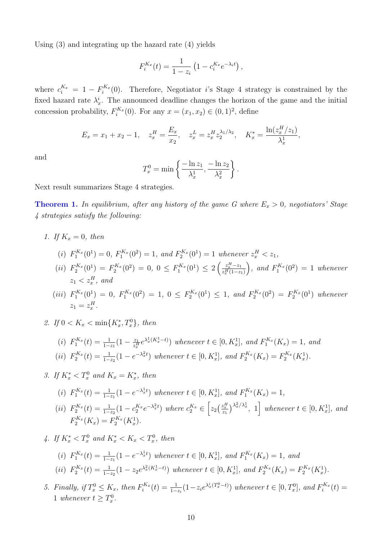Using (3) and integrating up the hazard rate (4) yields

$$
F_i^{K_x}(t) = \frac{1}{1 - z_i} \left( 1 - c_i^{K_x} e^{-\lambda_i t} \right),
$$

where  $c_i^{K_x} = 1 - F_i^{K_x}(0)$ . Therefore, Negotiator *i*'s Stage 4 strategy is constrained by the fixed hazard rate  $\lambda_x^i$ . The announced deadline changes the horizon of the game and the initial concession probability,  $F_i^{K_x}(0)$ . For any  $x = (x_1, x_2) \in (0, 1)^2$ , define

$$
E_x = x_1 + x_2 - 1, \quad z_x^H = \frac{E_x}{x_2}, \quad z_x^L = z_x^H z_2^{\lambda_1/\lambda_2}, \quad K_x^* = \frac{\ln(z_x^H/z_1)}{\lambda_x^1},
$$

and

$$
T_x^0 = \min\left\{\frac{-\ln z_1}{\lambda_x^1}, \frac{-\ln z_2}{\lambda_x^2}\right\}.
$$

Next result summarizes Stage 4 strategies.

**Theorem 1.** In equilibrium, after any history of the game G where  $E_x > 0$ , negotiators' Stage 4 strategies satisfy the following:

1. If  $K<sub>x</sub> = 0$ , then

(i) 
$$
F_1^{K_x}(0^1) = 0
$$
,  $F_1^{K_x}(0^2) = 1$ , and  $F_2^{K_x}(0^1) = 1$  whenever  $z_x^H < z_1$ ,

- (ii)  $F_2^{K_x}(0^1) = F_2^{K_x}(0^2) = 0, 0 \le F_1^{K_x}(0^1) \le 2\left(\frac{z_x^H z_1}{z_x^H(1-z)}\right)$  $\overline{z_x^H(1-z_1)}$ ), and  $F_1^{K_x}(0^2) = 1$  whenever  $z_1 < z_x^H$ , and
- (iii)  $F_1^{K_x}(0^1) = 0$ ,  $F_1^{K_x}(0^2) = 1$ ,  $0 \le F_2^{K_x}(0^1) \le 1$ , and  $F_2^{K_x}(0^2) = F_2^{K_x}(0^1)$  whenever  $z_1=z_x^H$ .
- 2. If  $0 < K_x < \min\{K_x^*, T_x^0\}$ , then

(i) 
$$
F_1^{K_x}(t) = \frac{1}{1-z_1}(1 - \frac{z_1}{z_x^H}e^{\lambda_x^1(K_x^1 - t)})
$$
 whenever  $t \in [0, K_x^1]$ , and  $F_1^{K_x}(K_x) = 1$ , and  
\n(ii)  $F_2^{K_x}(t) = \frac{1}{1-z_2}(1 - e^{-\lambda_x^2 t})$  whenever  $t \in [0, K_x^1]$ , and  $F_2^{K_x}(K_x) = F_2^{K_x}(K_x^1)$ .

3. If  $K_x^* < T_x^0$  and  $K_x = K_x^*$ , then

(i) 
$$
F_1^{K_x}(t) = \frac{1}{1-z_1}(1 - e^{-\lambda_x^1 t})
$$
 whenever  $t \in [0, K_x^1]$ , and  $F_1^{K_x}(K_x) = 1$ ,  
\n(ii)  $F_2^{K_x}(t) = \frac{1}{1-z_2}(1 - c_2^{K_x}e^{-\lambda_x^2 t})$  where  $c_2^{K_x} \in \left[z_2\left(\frac{z_x^H}{z_1}\right)^{\lambda_x^2/\lambda_x^1}, 1\right]$  whenever  $t \in [0, K_x^1]$ , and  $F_2^{K_x}(K_x) = F_2^{K_x}(K_x^1)$ .

4. If 
$$
K_x^* < T_x^0
$$
 and  $K_x^* < K_x < T_x^0$ , then

(i) 
$$
F_1^{K_x}(t) = \frac{1}{1-z_1}(1 - e^{-\lambda_x^1 t})
$$
 whenever  $t \in [0, K_x^1]$ , and  $F_1^{K_x}(K_x) = 1$ , and  
\n(ii)  $F_2^{K_x}(t) = \frac{1}{1-z_2}(1 - z_2 e^{\lambda_x^2(K_x^1 - t)})$  whenever  $t \in [0, K_x^1]$ , and  $F_2^{K_x}(K_x) = F_2^{K_x}(K_x^1)$ .

5. Finally, if  $T_x^0 \le K_x$ , then  $F_i^{K_x}(t) = \frac{1}{1-z_i}(1-z_i e^{\lambda_x^i(T_x^0-t)})$  whenever  $t \in [0, T_x^0]$ , and  $F_i^{K_x}(t) =$ 1 whenever  $t \geq T_x^0$ .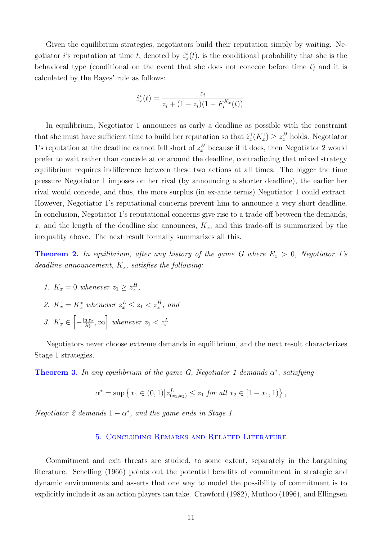Given the equilibrium strategies, negotiators build their reputation simply by waiting. Negotiator *i*'s reputation at time *t*, denoted by  $\hat{z}_x^i(t)$ , is the conditional probability that she is the behavioral type (conditional on the event that she does not concede before time  $t$ ) and it is calculated by the Bayes' rule as follows:

$$
\hat{z}_x^i(t) = \frac{z_i}{z_i + (1 - z_i)(1 - F_i^{K_x}(t))}.
$$

In equilibrium, Negotiator 1 announces as early a deadline as possible with the constraint that she must have sufficient time to build her reputation so that  $\hat{z}_x^1(K_x^1) \geq z_x^H$  holds. Negotiator 1's reputation at the deadline cannot fall short of  $z_x^H$  because if it does, then Negotiator 2 would prefer to wait rather than concede at or around the deadline, contradicting that mixed strategy equilibrium requires indifference between these two actions at all times. The bigger the time pressure Negotiator 1 imposes on her rival (by announcing a shorter deadline), the earlier her rival would concede, and thus, the more surplus (in ex-ante terms) Negotiator 1 could extract. However, Negotiator 1's reputational concerns prevent him to announce a very short deadline. In conclusion, Negotiator 1's reputational concerns give rise to a trade-off between the demands, x, and the length of the deadline she announces,  $K_x$ , and this trade-off is summarized by the inequality above. The next result formally summarizes all this.

**Theorem 2.** In equilibrium, after any history of the game G where  $E_x > 0$ , Negotiator 1's deadline announcement,  $K_x$ , satisfies the following:

- 1.  $K_x = 0$  whenever  $z_1 \geq z_x^H$ ,
- 2.  $K_x = K_x^*$  whenever  $z_x^L \leq z_1 < z_x^H$ , and
- 3.  $K_x \in \left[-\frac{\ln z_2}{\lambda^2}\right]$  $\left[\frac{n z_2}{\lambda_x^2}, \infty\right]$  whenever  $z_1 < z_x^L$ .

Negotiators never choose extreme demands in equilibrium, and the next result characterizes Stage 1 strategies.

**Theorem 3.** In any equilibrium of the game G, Negotiator 1 demands  $\alpha^*$ , satisfying

$$
\alpha^* = \sup \left\{ x_1 \in (0,1) \middle| z_{(x_1,x_2)}^L \le z_1 \text{ for all } x_2 \in [1-x_1,1) \right\},\,
$$

Negotiator 2 demands  $1 - \alpha^*$ , and the game ends in Stage 1.

## 5. Concluding Remarks and Related Literature

Commitment and exit threats are studied, to some extent, separately in the bargaining literature. Schelling (1966) points out the potential benefits of commitment in strategic and dynamic environments and asserts that one way to model the possibility of commitment is to explicitly include it as an action players can take. Crawford (1982), Muthoo (1996), and Ellingsen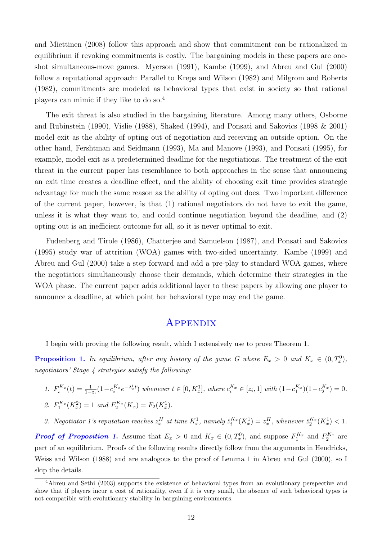and Miettinen (2008) follow this approach and show that commitment can be rationalized in equilibrium if revoking commitments is costly. The bargaining models in these papers are oneshot simultaneous-move games. Myerson (1991), Kambe (1999), and Abreu and Gul (2000) follow a reputational approach: Parallel to Kreps and Wilson (1982) and Milgrom and Roberts (1982), commitments are modeled as behavioral types that exist in society so that rational players can mimic if they like to do so.<sup>4</sup>

The exit threat is also studied in the bargaining literature. Among many others, Osborne and Rubinstein (1990), Vislie (1988), Shaked (1994), and Ponsati and Sakovics (1998 & 2001) model exit as the ability of opting out of negotiation and receiving an outside option. On the other hand, Fershtman and Seidmann (1993), Ma and Manove (1993), and Ponsati (1995), for example, model exit as a predetermined deadline for the negotiations. The treatment of the exit threat in the current paper has resemblance to both approaches in the sense that announcing an exit time creates a deadline effect, and the ability of choosing exit time provides strategic advantage for much the same reason as the ability of opting out does. Two important difference of the current paper, however, is that (1) rational negotiators do not have to exit the game, unless it is what they want to, and could continue negotiation beyond the deadline, and (2) opting out is an inefficient outcome for all, so it is never optimal to exit.

Fudenberg and Tirole (1986), Chatterjee and Samuelson (1987), and Ponsati and Sakovics (1995) study war of attrition (WOA) games with two-sided uncertainty. Kambe (1999) and Abreu and Gul (2000) take a step forward and add a pre-play to standard WOA games, where the negotiators simultaneously choose their demands, which determine their strategies in the WOA phase. The current paper adds additional layer to these papers by allowing one player to announce a deadline, at which point her behavioral type may end the game.

# **APPENDIX**

I begin with proving the following result, which I extensively use to prove Theorem 1.

**Proposition 1.** In equilibrium, after any history of the game G where  $E_x > 0$  and  $K_x \in (0, T_x^0)$ , negotiators' Stage 4 strategies satisfy the following:

1. 
$$
F_i^{K_x}(t) = \frac{1}{1-z_i} (1 - c_i^{K_x} e^{-\lambda_x^i t})
$$
 whenever  $t \in [0, K_x^1]$ , where  $c_i^{K_x} \in [z_i, 1]$  with  $(1 - c_1^{K_x})(1 - c_2^{K_x}) = 0$ .  
\n2.  $F_1^{K_x}(K_x^2) = 1$  and  $F_2^{K_x}(K_x) = F_2(K_x^1)$ .

3. Negotiator 1's reputation reaches  $z_x^H$  at time  $K_x^1$ , namely  $\hat{z}_i^{K_x}(K_x^1) = z_x^H$ , whenever  $\hat{z}_2^{K_x}(K_x^1) < 1$ .

**Proof of Proposition 1.** Assume that  $E_x > 0$  and  $K_x \in (0, T_x^0)$ , and suppose  $F_1^{K_x}$  and  $F_2^{K_x}$  are part of an equilibrium. Proofs of the following results directly follow from the arguments in Hendricks, Weiss and Wilson (1988) and are analogous to the proof of Lemma 1 in Abreu and Gul (2000), so I skip the details.

<sup>4</sup>Abreu and Sethi (2003) supports the existence of behavioral types from an evolutionary perspective and show that if players incur a cost of rationality, even if it is very small, the absence of such behavioral types is not compatible with evolutionary stability in bargaining environments.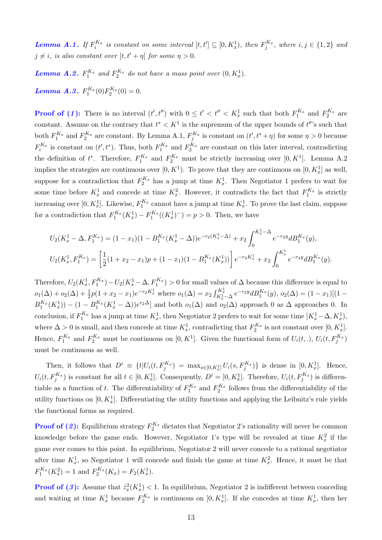**Lemma A.1.** If  $F_i^{K_x}$  is constant on some interval  $[t, t'] \subseteq [0, K_x^1)$ , then  $F_j^{K_x}$ , where  $i, j \in \{1, 2\}$  and  $j \neq i$ , is also constant over  $[t, t' + \eta]$  for some  $\eta > 0$ .

**Lemma A.2.**  $F_1^{K_x}$  and  $F_2^{K_x}$  do not have a mass point over  $(0, K_x^1)$ . **Lemma A.3.**  $F_1^{K_x}(0)F_2^{K_x}(0) = 0.$ 

**Proof of (1):** There is no interval  $(t', t'')$  with  $0 \le t' < t'' < K_x^1$  such that both  $F_1^{K_x}$  and  $F_2^{K_x}$  are constant. Assume on the contrary that  $t^* < K^1$  is the supremum of the upper bounds of  $t''$ 's such that both  $F_1^{K_x}$  and  $F_2^{K_x}$  are constant. By Lemma A.1,  $F_j^{K_x}$  is constant on  $(t', t^* + \eta)$  for some  $\eta > 0$  because  $F_i^{K_x}$  is constant on  $(t', t^*)$ . Thus, both  $F_1^{K_x}$  and  $F_2^{K_x}$  are constant on this later interval, contradicting the definition of  $t^*$ . Therefore,  $F_1^{K_x}$  and  $F_2^{K_x}$  must be strictly increasing over  $[0, K^1]$ . Lemma A.2 implies the strategies are continuous over  $[0, K^1)$ . To prove that they are continuous on  $[0, K_x^1]$  as well, suppose for a contradiction that  $F_2^{K_x}$  has a jump at time  $K_x^1$ . Then Negotiator 1 prefers to wait for some time before  $K_x^1$  and concede at time  $K_x^2$ . However, it contradicts the fact that  $F_1^{K_x}$  is strictly increasing over  $[0, K_x^1]$ . Likewise,  $F_1^{K_x}$  cannot have a jump at time  $K_x^1$ . To prove the last claim, suppose for a contradiction that  $F_1^{K_x}(K_x^1) - F_1^{K_x}((K_x^1)^-) = p > 0$ . Then, we have

$$
U_2(K_x^1 - \Delta, F_1^{K_x}) = (1 - x_1)(1 - B_1^{K_x}(K_x^1 - \Delta))e^{-r_2(K_x^1 - \Delta)} + x_2 \int_0^{K_x^1 - \Delta} e^{-r_2y} dB_1^{K_x}(y),
$$
  

$$
U_2(K_x^1, F_1^{K_x}) = \left[\frac{1}{2}(1 + x_2 - x_1)p + (1 - x_1)(1 - B_1^{K_x}(K_x^1))\right]e^{-r_2K_x^1} + x_2 \int_0^{K_x^1} e^{-r_2y} dB_1^{K_x}(y).
$$

Therefore,  $U_2(K_x^1, F_1^{K_x}) - U_2(K_x^1 - \Delta, F_1^{K_x}) > 0$  for small values of  $\Delta$  because this difference is equal to  $o_1(\Delta) + o_2(\Delta) + \frac{1}{2}p(1+x_2-x_1)e^{-r_2K_x^1}$  where  $o_1(\Delta) = x_2 \int_{K_x^1 - \Delta}^{K_x^1} e^{-r_2y} dB_1^{K_x}(y)$ ,  $o_2(\Delta) = (1-x_1)[(1-x_2)^{1/2}]$  $B_1^{K_x}(K_x^1)$  –  $(1 - B_1^{K_x}(K_x^1 - \Delta))e^{r_2\Delta}$  and both  $o_1(\Delta)$  and  $o_2(\Delta)$  approach 0 as  $\Delta$  approaches 0. In conclusion, if  $F_1^{K_x}$  has a jump at time  $K_x^1$ , then Negotiator 2 prefers to wait for some time  $[K_x^1 - \Delta, K_x^1)$ , where  $\Delta > 0$  is small, and then concede at time  $K_x^1$ , contradicting that  $F_2^{K_x}$  is not constant over  $[0, K_x^1]$ . Hence,  $F_1^{K_x}$  and  $F_2^{K_x}$  must be continuous on  $[0, K^1]$ . Given the functional form of  $U_i(t,.)$ ,  $U_i(t, F_j^{K_x})$ must be continuous as well.

Then, it follows that  $D^i \equiv \{t | U_i(t, F_j^{K_x}) = \max_{s \in [0, K_x^1]} U_i(s, F_j^{K_x})\}$  is dense in  $[0, K_x^1]$ . Hence,  $U_i(t, F_j^{K_x})$  is constant for all  $t \in [0, K_x^1]$ . Consequently,  $D^i = [0, K_x^1]$ . Therefore,  $U_i(t, F_j^{K_x})$  is differentiable as a function of t. The differentiability of  $F_1^{K_x}$  and  $F_2^{K_x}$  follows from the differentiability of the utility functions on  $[0, K_x^1]$ . Differentiating the utility functions and applying the Leibnitz's rule yields the functional forms as required.

**Proof of (2):** Equilibrium strategy  $F_2^{K_x}$  dictates that Negotiator 2's rationality will never be common knowledge before the game ends. However, Negotiator 1's type will be revealed at time  $K_x^2$  if the game ever comes to this point. In equilibrium, Negotiator 2 will never concede to a rational negotiator after time  $K_x^1$ , so Negotiator 1 will concede and finish the game at time  $K_x^2$ . Hence, it must be that  $F_1^{K_x}(K_x^2) = 1$  and  $F_2^{K_x}(K_x) = F_2(K_x^1)$ .

**Proof of (3):** Assume that  $\hat{z}_x^2(K_x^1) < 1$ . In equilibrium, Negotiator 2 is indifferent between conceding and waiting at time  $K_x^1$  because  $F_2^{K_x}$  is continuous on  $[0, K_x^1]$ . If she concedes at time  $K_x^1$ , then her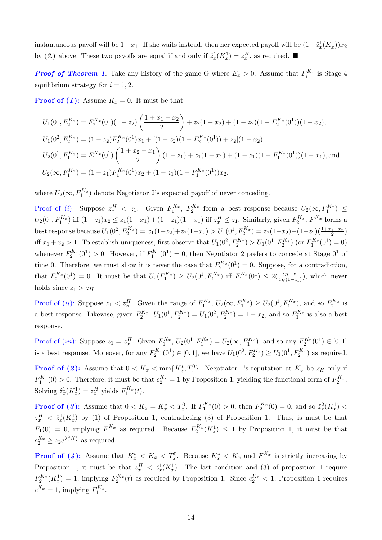instantaneous payoff will be  $1-x_1$ . If she waits instead, then her expected payoff will be  $(1-\hat{z}_x^1(K_x^1))x_2$ by (2.) above. These two payoffs are equal if and only if  $\hat{z}_x^1(K_x^1) = z_x^H$ , as required.

**Proof of Theorem 1.** Take any history of the game G where  $E_x > 0$ . Assume that  $F_i^{K_x}$  is Stage 4 equilibrium strategy for  $i = 1, 2$ .

**Proof of (1):** Assume  $K_x = 0$ . It must be that

$$
U_1(0^1, F_2^{K_x}) = F_2^{K_x}(0^1)(1 - z_2) \left(\frac{1 + x_1 - x_2}{2}\right) + z_2(1 - x_2) + (1 - z_2)(1 - F_2^{K_x}(0^1))(1 - x_2),
$$
  
\n
$$
U_1(0^2, F_2^{K_x}) = (1 - z_2)F_2^{K_x}(0^1)x_1 + [(1 - z_2)(1 - F_2^{K_x}(0^1)) + z_2](1 - x_2),
$$
  
\n
$$
U_2(0^1, F_1^{K_x}) = F_1^{K_x}(0^1) \left(\frac{1 + x_2 - x_1}{2}\right)(1 - z_1) + z_1(1 - x_1) + (1 - z_1)(1 - F_1^{K_x}(0^1))(1 - x_1),
$$
 and  
\n
$$
U_2(\infty, F_1^{K_x}) = (1 - z_1)F_1^{K_x}(0^1)x_2 + (1 - z_1)(1 - F_1^{K_x}(0^1))x_2.
$$

where  $U_2(\infty, F_1^{K_x})$  denote Negotiator 2's expected payoff of never conceding.

Proof of (*i*): Suppose  $z_x^H$  <  $z_1$ . Given  $F_1^{K_x}$ ,  $F_2^{K_x}$  form a best response because  $U_2(\infty, F_1^{K_x}) \le$  $U_2(0^1, F_1^{K_x})$  iff  $(1-z_1)x_2 \le z_1(1-x_1) + (1-z_1)(1-x_1)$  iff  $z_x^H \le z_1$ . Similarly, given  $F_2^{K_x}$ ,  $F_1^{K_x}$  forms a best response because  $U_1(0^2, F_2^{K_x}) = x_1(1-z_2)+z_2(1-x_2) > U_1(0^1, F_2^{K_x}) = z_2(1-x_2)+(1-z_2)(\frac{1+x_1-x_2}{2})$ iff  $x_1 + x_2 > 1$ . To establish uniqueness, first observe that  $U_1(0^2, F_2^{K_x}) > U_1(0^1, F_2^{K_x})$  (or  $F_1^{K_x}(0^1) = 0$ ) whenever  $F_2^{K_x}(0^1) > 0$ . However, if  $F_1^{K_x}(0^1) = 0$ , then Negotiator 2 prefers to concede at Stage  $0^1$  of time 0. Therefore, we must show it is never the case that  $F_2^{K_x}(0^1) = 0$ . Suppose, for a contradiction, that  $F_2^{K_x}(0^1) = 0$ . It must be that  $U_2(F_1^{K_x}) \ge U_2(0^1, F_1^{K_x})$  iff  $F_1^{K_x}(0^1) \le 2(\frac{z_H - z_1}{z_H(1 - z_1)})$ , which never holds since  $z_1 > z_H$ .

Proof of (*ii*): Suppose  $z_1 < z_x^H$ . Given the range of  $F_1^{K_x}$ ,  $U_2(\infty, F_1^{K_x}) \ge U_2(0^1, F_1^{K_x})$ , and so  $F_2^{K_x}$  is a best response. Likewise, given  $F_2^{K_x}$ ,  $U_1(0^1, F_2^{K_x}) = U_1(0^2, F_2^{K_x}) = 1 - x_2$ , and so  $F_1^{K_x}$  is also a best response.

Proof of (*iii*): Suppose  $z_1 = z_x^H$ . Given  $F_1^{K_x}$ ,  $U_2(0^1, F_1^{K_x}) = U_2(\infty, F_1^{K_x})$ , and so any  $F_2^{K_x}(0^1) \in [0, 1]$ is a best response. Moreover, for any  $F_2^{K_x}(0^1) \in [0,1]$ , we have  $U_1(0^2, F_2^{K_x}) \ge U_1(0^1, F_2^{K_x})$  as required.

**Proof of (2):** Assume that  $0 < K_x < \min\{K_x^*, T_x^0\}$ . Negotiator 1's reputation at  $K_x^1$  be  $z_H$  only if  $F_1^{K_x}(0) > 0$ . Therefore, it must be that  $c_2^{K_x} = 1$  by Proposition 1, yielding the functional form of  $F_2^{K_x}$ . Solving  $\hat{z}_x^1(K_x^1) = z_x^H$  yields  $F_1^{K_x}(t)$ .

**Proof of (3):** Assume that  $0 < K_x = K_x^* < T_x^0$ . If  $F_1^{K_x}(0) > 0$ , then  $F_2^{K_x}(0) = 0$ , and so  $\hat{z}_x^2(K_x^1) <$  $z_x^H$   $\langle \hat{z}_x^1(K_x^1) \rangle$  by (1) of Proposition 1, contradicting (3) of Proposition 1. Thus, is must be that  $F_1(0) = 0$ , implying  $F_1^{K_x}$  as required. Because  $F_2^{K_x}(K_x^1) \leq 1$  by Proposition 1, it must be that  $c_2^{K_x} \ge z_2 e^{\lambda_x^2 K_x^1}$  as required.

**Proof of (4):** Assume that  $K_x^* < K_x < T_x^0$ . Because  $K_x^* < K_x$  and  $F_1^{K_x}$  is strictly increasing by Proposition 1, it must be that  $z_x^H < \hat{z}_x^1(K_x^1)$ . The last condition and (3) of proposition 1 require  $F_2^{K_x}(K_x^1) = 1$ , implying  $F_2^{K_x}(t)$  as required by Proposition 1. Since  $c_2^{K_x} < 1$ , Proposition 1 requires  $c_1^{K_x} = 1$ , implying  $F_1^{K_x}$ .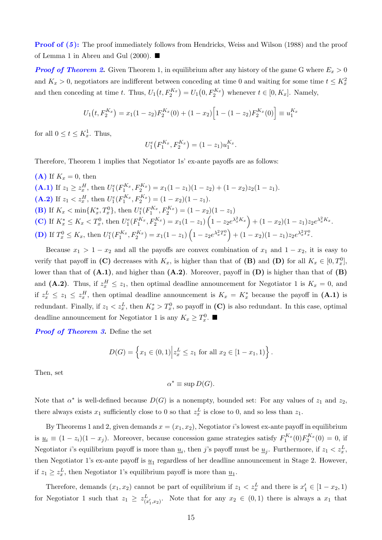**Proof of (5):** The proof immediately follows from Hendricks, Weiss and Wilson (1988) and the proof of Lemma 1 in Abreu and Gul (2000).  $\blacksquare$ 

**Proof of Theorem 2.** Given Theorem 1, in equilibrium after any history of the game G where  $E_x > 0$ and  $K_x > 0$ , negotiators are indifferent between conceding at time 0 and waiting for some time  $t \leq K_x^2$ and then conceding at time t. Thus,  $U_1(t, F_2^{K_x}) = U_1(0, F_2^{K_x})$  whenever  $t \in [0, K_x]$ . Namely,

$$
U_1(t, F_2^{K_x}) = x_1(1 - z_2)F_2^{K_x}(0) + (1 - x_2)\left[1 - (1 - z_2)F_2^{K_x}(0)\right] \equiv u_1^{K_x}
$$

for all  $0 \le t \le K_x^1$ . Thus,

$$
U_1^e(F_1^{K_x}, F_2^{K_x}) = (1 - z_1)u_1^{K_x}.
$$

Therefore, Theorem 1 implies that Negotiator 1s' ex-ante payoffs are as follows:

\n- **(A)** If 
$$
K_x = 0
$$
, then
\n- **(A.1)** If  $z_1 \geq z_x^H$ , then  $U_1^e(F_1^{K_x}, F_2^{K_x}) = x_1(1-z_1)(1-z_2) + (1-x_2)z_2(1-z_1)$ .
\n- **(A.2)** If  $z_1 < z_x^H$ , then  $U_1^e(F_1^{K_x}, F_2^{K_x}) = (1-x_2)(1-z_1)$ .
\n- **(B)** If  $K_x < \min\{K_x^*, T_x^0\}$ , then  $U_1^e(F_1^{K_x}, F_2^{K_x}) = (1-x_2)(1-z_1)$ .
\n- **(C)** If  $K_x^* \leq K_x < T_x^0$ , then  $U_1^e(F_1^{K_x}, F_2^{K_x}) = x_1(1-z_1)\left(1-z_2e^{\lambda_x^2 K_x}\right) + (1-x_2)(1-z_1)z_2e^{\lambda_x^2 K_x}$ .
\n- **(D)** If  $T_x^0 \leq K_x$ , then  $U_1^e(F_1^{K_x}, F_2^{K_x}) = x_1(1-z_1)\left(1-z_2e^{\lambda_x^2 T_x^0}\right) + (1-x_2)(1-z_1)z_2e^{\lambda_x^2 T_x^0}$ .
\n

Because  $x_1 > 1 - x_2$  and all the payoffs are convex combination of  $x_1$  and  $1 - x_2$ , it is easy to verify that payoff in (C) decreases with  $K_x$ , is higher than that of (B) and (D) for all  $K_x \in [0, T_x^0]$ , lower than that of  $(A.1)$ , and higher than  $(A.2)$ . Moreover, payoff in  $(D)$  is higher than that of  $(B)$ and (A.2). Thus, if  $z_x^H \leq z_1$ , then optimal deadline announcement for Negotiator 1 is  $K_x = 0$ , and if  $z_x^L \leq z_1 \leq z_x^H$ , then optimal deadline announcement is  $K_x = K_x^*$  because the payoff in  $(A.1)$  is redundant. Finally, if  $z_1 < z_x^L$ , then  $K_x^* > T_x^0$ , so payoff in (C) is also redundant. In this case, optimal deadline announcement for Negotiator 1 is any  $K_x \geq T_x^0$ .

**Proof of Theorem 3.** Define the set

$$
D(G) = \left\{ x_1 \in (0,1) \middle| z_x^L \le z_1 \text{ for all } x_2 \in [1-x_1,1) \right\}.
$$

Then, set

$$
\alpha^* \equiv \sup D(G).
$$

Note that  $\alpha^*$  is well-defined because  $D(G)$  is a nonempty, bounded set: For any values of  $z_1$  and  $z_2$ , there always exists  $x_1$  sufficiently close to 0 so that  $z_x^L$  is close to 0, and so less than  $z_1$ .

By Theorems 1 and 2, given demands  $x = (x_1, x_2)$ , Negotiator i's lowest ex-ante payoff in equilibrium is  $\underline{u}_i \equiv (1-z_i)(1-x_j)$ . Moreover, because concession game strategies satisfy  $F_1^{K_x}(0)F_2^{K_x}(0) = 0$ , if Negotiator *i*'s equilibrium payoff is more than  $\underline{u}_i$ , then *j*'s payoff must be  $\underline{u}_j$ . Furthermore, if  $z_1 < z_x^L$ , then Negotiator 1's ex-ante payoff is  $\underline{u}_1$  regardless of her deadline announcement in Stage 2. However, if  $z_1 \geq z_x^L$ , then Negotiator 1's equilibrium payoff is more than  $\underline{u}_1$ .

Therefore, demands  $(x_1, x_2)$  cannot be part of equilibrium if  $z_1 < z_x^L$  and there is  $x'_1 \in [1 - x_2, 1]$ for Negotiator 1 such that  $z_1 \geq z_{(x'_1,x_2)}^L$ . Note that for any  $x_2 \in (0,1)$  there is always a  $x_1$  that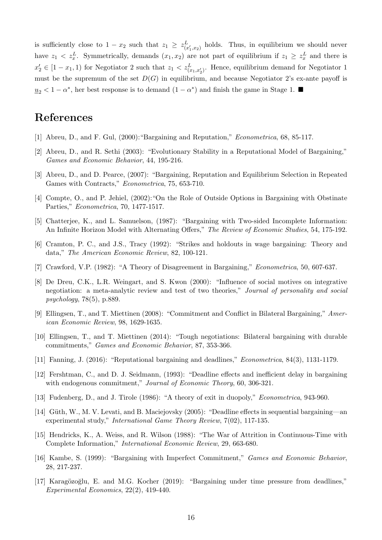is sufficiently close to  $1 - x_2$  such that  $z_1 \geq z_{(x'_1,x_2)}^L$  holds. Thus, in equilibrium we should never have  $z_1 < z_x^L$ . Symmetrically, demands  $(x_1, x_2)$  are not part of equilibrium if  $z_1 \geq z_x^L$  and there is  $x_2' \in [1-x_1, 1)$  for Negotiator 2 such that  $z_1 < z_{(x_1, x_2')}^L$ . Hence, equilibrium demand for Negotiator 1 must be the supremum of the set  $D(G)$  in equilibrium, and because Negotiator 2's ex-ante payoff is  $\underline{u}_2$  < 1 −  $\alpha^*$ , her best response is to demand  $(1 - \alpha^*)$  and finish the game in Stage 1.

# References

- [1] Abreu, D., and F. Gul, (2000):"Bargaining and Reputation," Econometrica, 68, 85-117.
- [2] Abreu, D., and R. Sethi (2003): "Evolutionary Stability in a Reputational Model of Bargaining," Games and Economic Behavior, 44, 195-216.
- [3] Abreu, D., and D. Pearce, (2007): "Bargaining, Reputation and Equilibrium Selection in Repeated Games with Contracts," Econometrica, 75, 653-710.
- [4] Compte, O., and P. Jehiel, (2002):"On the Role of Outside Options in Bargaining with Obstinate Parties," Econometrica, 70, 1477-1517.
- [5] Chatterjee, K., and L. Samuelson, (1987): "Bargaining with Two-sided Incomplete Information: An Infinite Horizon Model with Alternating Offers," The Review of Economic Studies, 54, 175-192.
- [6] Cramton, P. C., and J.S., Tracy (1992): "Strikes and holdouts in wage bargaining: Theory and data," The American Economic Review, 82, 100-121.
- [7] Crawford, V.P. (1982): "A Theory of Disagreement in Bargaining," Econometrica, 50, 607-637.
- [8] De Dreu, C.K., L.R. Weingart, and S. Kwon (2000): "Influence of social motives on integrative negotiation: a meta-analytic review and test of two theories," Journal of personality and social psychology, 78(5), p.889.
- [9] Ellingsen, T., and T. Miettinen (2008): "Commitment and Conflict in Bilateral Bargaining," American Economic Review, 98, 1629-1635.
- [10] Ellingsen, T., and T. Miettinen (2014): "Tough negotiations: Bilateral bargaining with durable commitments," Games and Economic Behavior, 87, 353-366.
- [11] Fanning, J. (2016): "Reputational bargaining and deadlines," Econometrica, 84(3), 1131-1179.
- [12] Fershtman, C., and D. J. Seidmann, (1993): "Deadline effects and inefficient delay in bargaining with endogenous commitment," Journal of Economic Theory, 60, 306-321.
- [13] Fudenberg, D., and J. Tirole (1986): "A theory of exit in duopoly," Econometrica, 943-960.
- [14] Güth, W., M. V. Levati, and B. Maciejovsky (2005): "Deadline effects in sequential bargaining—an experimental study," International Game Theory Review, 7(02), 117-135.
- [15] Hendricks, K., A. Weiss, and R. Wilson (1988): "The War of Attrition in Continuous-Time with Complete Information," International Economic Review, 29, 663-680.
- [16] Kambe, S. (1999): "Bargaining with Imperfect Commitment," Games and Economic Behavior, 28, 217-237.
- [17] Karagözoğlu, E. and M.G. Kocher (2019): "Bargaining under time pressure from deadlines," Experimental Economics, 22(2), 419-440.